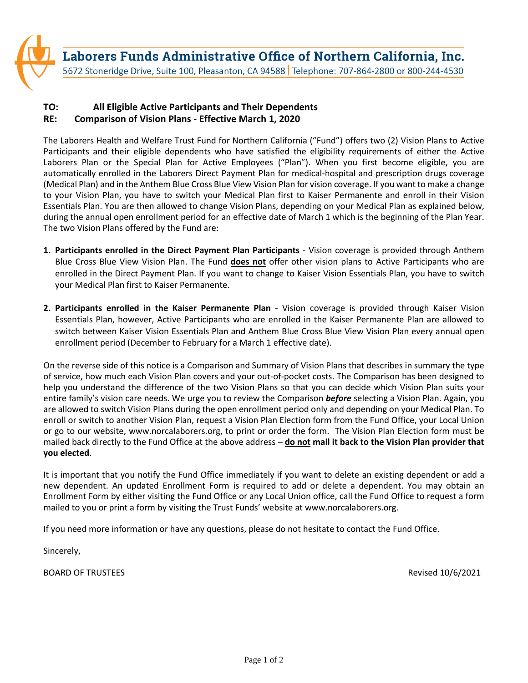

## **TO: All Eligible Active Participants and Their Dependents RE: Comparison of Vision Plans - Effective March 1, 2020**

The Laborers Health and Welfare Trust Fund for Northern California ("Fund") offers two (2) Vision Plans to Active Participants and their eligible dependents who have satisfied the eligibility requirements of either the Active Laborers Plan or the Special Plan for Active Employees ("Plan"). When you first become eligible, you are automatically enrolled in the Laborers Direct Payment Plan for medical-hospital and prescription drugs coverage (Medical Plan) and in the Anthem Blue Cross Blue View Vision Plan for vision coverage. If you want to make a change to your Vision Plan, you have to switch your Medical Plan first to Kaiser Permanente and enroll in their Vision Essentials Plan. You are then allowed to change Vision Plans, depending on your Medical Plan as explained below, during the annual open enrollment period for an effective date of March 1 which is the beginning of the Plan Year. The two Vision Plans offered by the Fund are:

- **1. Participants enrolled in the Direct Payment Plan Participants**  Vision coverage is provided through Anthem Blue Cross Blue View Vision Plan. The Fund **does not** offer other vision plans to Active Participants who are enrolled in the Direct Payment Plan. If you want to change to Kaiser Vision Essentials Plan, you have to switch your Medical Plan first to Kaiser Permanente.
- **2. Participants enrolled in the Kaiser Permanente Plan**  Vision coverage is provided through Kaiser Vision Essentials Plan, however, Active Participants who are enrolled in the Kaiser Permanente Plan are allowed to switch between Kaiser Vision Essentials Plan and Anthem Blue Cross Blue View Vision Plan every annual open enrollment period (December to February for a March 1 effective date).

On the reverse side of this notice is a Comparison and Summary of Vision Plans that describes in summary the type of service, how much each Vision Plan covers and your out-of-pocket costs. The Comparison has been designed to help you understand the difference of the two Vision Plans so that you can decide which Vision Plan suits your entire family's vision care needs. We urge you to review the Comparison *before* selecting a Vision Plan. Again, you are allowed to switch Vision Plans during the open enrollment period only and depending on your Medical Plan. To enroll or switch to another Vision Plan, request a Vision Plan Election form from the Fund Office, your Local Union or go to our website, www.norcalaborers.org, to print or order the form. The Vision Plan Election form must be mailed back directly to the Fund Office at the above address – **do not mail it back to the Vision Plan provider that you elected**.

It is important that you notify the Fund Office immediately if you want to delete an existing dependent or add a new dependent. An updated Enrollment Form is required to add or delete a dependent. You may obtain an Enrollment Form by either visiting the Fund Office or any Local Union office, call the Fund Office to request a form mailed to you or print a form by visiting the Trust Funds' website at www.norcalaborers.org.

If you need more information or have any questions, please do not hesitate to contact the Fund Office.

Sincerely,

BOARD OF TRUSTEES **Revised 10/6/2021**